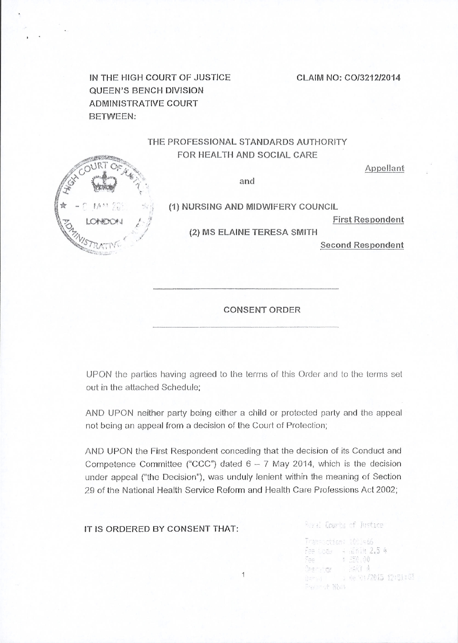CLAIM NO: CO/3212/2014

IN THE HIGH COURT OF JUSTJCE QUEEN'S BENCH DIVISION ADMINISTRATIVE COURT BETWEEN:

## THE PROFESSIONAL STANDARDS AUTHORITY FOR HEALTH AND SOCIAL CARE

and

(1) NURSING AND MIDWIFERY COUNCIL

First Respondent

Appellant

(2) MS ELAINE TERESA SMITH

Second Respondent

CONSENT ORDER

UPON the parties having agreed to the terrns of this Order and to the terms set out in the attached Schedule:

AND UPON neither party being either a child or protected party and the appeal not being an appeal from a decision of the Court of Protection;

AND UPON the First Respondent conceding that the decision of its Conduct and Competence Committee ("CCC") dated  $6-7$  May 2014, which is the decision under appeal ("the Decision"), was unduly lenient within the meaning of Section 29 of the National Health Service Reform and Health Care Professions Act 2002;

| IS ORDERED BY CONSENT THAT: | Reval Courts of Justice                                                   |
|-----------------------------|---------------------------------------------------------------------------|
|                             | Transoction: 1001466<br>Fee Code 4 Winim 2.5 4<br>\$ 250.00<br>Fee in the |
|                             | Service SAY 4<br>Autum 1 : 06 01/2015 12:51:03                            |

Present Most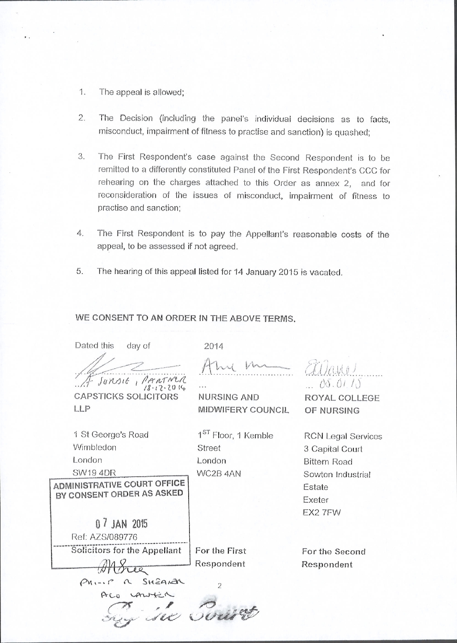- 1. The appeal is allowed;
- $2.$ The Decision (including the panel's individual decisions as to facts, misconduct, impairment of fitness to practise and sanction) is quashed;
- 3. The First Respondent's case against the Second Respondent is to be remitted to a differently constituted Panel of the First Respondent's CCC for rehearing on the charges attached to this Order as annex 2, and for reconsideration of the issues of misconduct, impairment of fitness to practise and sanction;
- 4. The First Respondent is to pay the Appellant's reasonable costs of the appeal, to be assessed if not agreed.
- The hearing of this appeal listed for 14 January 2015 is vacated. 5.

## WE CONSENT TO AN ORDER IN THE ABOVE TERMS.

Dated this day of 2014 Eilano JUNSIE, PARTNER  $0.00.011$ **CAPSTICKS SOLICITORS** NURSING AND ROYAL COLLEGE LLP **MIDWIFERY COUNCIL** OF NURSING 1<sup>ST</sup> Floor, 1 Kemble 1 St George's Road **RCN Legal Services** Wimbledon **Street** 3 Capital Court London London **Bittern Road SW19 4DR** WC2B 4AN Sowton Industrial **ADMINISTRATIVE COURT OFFICE** Estate BY CONSENT ORDER AS ASKED Exeter EX2 7FW 0 7 JAN 2015 Ref: AZS/089776 Solicitors for the Appellant For the First For the Second Respondent Respondent  $\overline{\mathcal{L}\mathcal{L}}$ Phi-ip a SHEARAL  $\overline{2}$ ALO LAWKIN